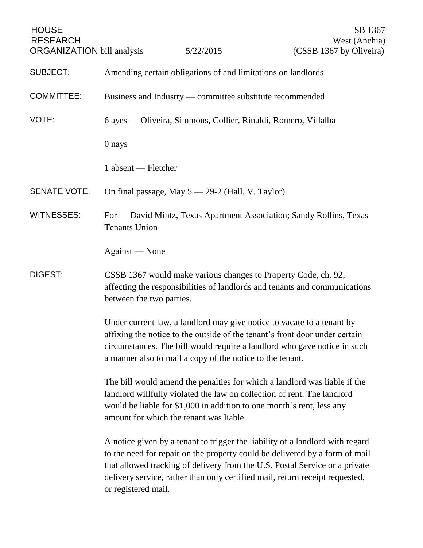| <b>HOUSE</b><br><b>RESEARCH</b><br><b>ORGANIZATION</b> bill analysis |                                                                                                                                                                                                                                                                                                | 5/22/2015                                        | SB 1367<br>West (Anchia)<br>(CSSB 1367 by Oliveira)                                                                                                                                                                                                                                                                         |
|----------------------------------------------------------------------|------------------------------------------------------------------------------------------------------------------------------------------------------------------------------------------------------------------------------------------------------------------------------------------------|--------------------------------------------------|-----------------------------------------------------------------------------------------------------------------------------------------------------------------------------------------------------------------------------------------------------------------------------------------------------------------------------|
| <b>SUBJECT:</b>                                                      | Amending certain obligations of and limitations on landlords                                                                                                                                                                                                                                   |                                                  |                                                                                                                                                                                                                                                                                                                             |
| <b>COMMITTEE:</b>                                                    | Business and Industry — committee substitute recommended                                                                                                                                                                                                                                       |                                                  |                                                                                                                                                                                                                                                                                                                             |
| VOTE:                                                                | 6 ayes — Oliveira, Simmons, Collier, Rinaldi, Romero, Villalba                                                                                                                                                                                                                                 |                                                  |                                                                                                                                                                                                                                                                                                                             |
|                                                                      | 0 nays                                                                                                                                                                                                                                                                                         |                                                  |                                                                                                                                                                                                                                                                                                                             |
|                                                                      | 1 absent — Fletcher                                                                                                                                                                                                                                                                            |                                                  |                                                                                                                                                                                                                                                                                                                             |
| <b>SENATE VOTE:</b>                                                  |                                                                                                                                                                                                                                                                                                | On final passage, May 5 - 29-2 (Hall, V. Taylor) |                                                                                                                                                                                                                                                                                                                             |
| <b>WITNESSES:</b>                                                    | For — David Mintz, Texas Apartment Association; Sandy Rollins, Texas<br><b>Tenants Union</b>                                                                                                                                                                                                   |                                                  |                                                                                                                                                                                                                                                                                                                             |
|                                                                      | Against — None                                                                                                                                                                                                                                                                                 |                                                  |                                                                                                                                                                                                                                                                                                                             |
| <b>DIGEST:</b>                                                       | CSSB 1367 would make various changes to Property Code, ch. 92,<br>affecting the responsibilities of landlords and tenants and communications<br>between the two parties.                                                                                                                       |                                                  |                                                                                                                                                                                                                                                                                                                             |
|                                                                      | Under current law, a landlord may give notice to vacate to a tenant by<br>affixing the notice to the outside of the tenant's front door under certain<br>circumstances. The bill would require a landlord who gave notice in such<br>a manner also to mail a copy of the notice to the tenant. |                                                  |                                                                                                                                                                                                                                                                                                                             |
|                                                                      | The bill would amend the penalties for which a landlord was liable if the<br>landlord willfully violated the law on collection of rent. The landlord<br>would be liable for \$1,000 in addition to one month's rent, less any<br>amount for which the tenant was liable.                       |                                                  |                                                                                                                                                                                                                                                                                                                             |
|                                                                      | or registered mail.                                                                                                                                                                                                                                                                            |                                                  | A notice given by a tenant to trigger the liability of a landlord with regard<br>to the need for repair on the property could be delivered by a form of mail<br>that allowed tracking of delivery from the U.S. Postal Service or a private<br>delivery service, rather than only certified mail, return receipt requested, |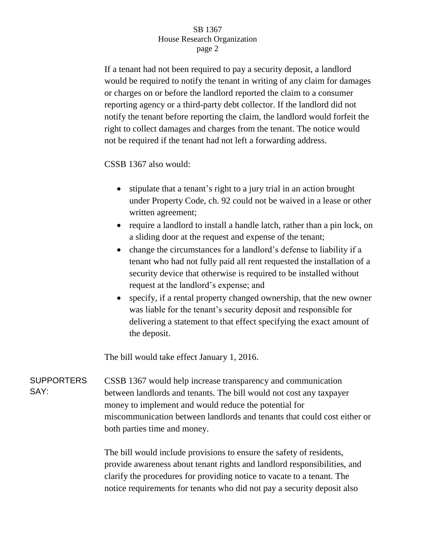## SB 1367 House Research Organization page 2

If a tenant had not been required to pay a security deposit, a landlord would be required to notify the tenant in writing of any claim for damages or charges on or before the landlord reported the claim to a consumer reporting agency or a third-party debt collector. If the landlord did not notify the tenant before reporting the claim, the landlord would forfeit the right to collect damages and charges from the tenant. The notice would not be required if the tenant had not left a forwarding address.

CSSB 1367 also would:

- stipulate that a tenant's right to a jury trial in an action brought under Property Code, ch. 92 could not be waived in a lease or other written agreement;
- require a landlord to install a handle latch, rather than a pin lock, on a sliding door at the request and expense of the tenant;
- change the circumstances for a landlord's defense to liability if a tenant who had not fully paid all rent requested the installation of a security device that otherwise is required to be installed without request at the landlord's expense; and
- specify, if a rental property changed ownership, that the new owner was liable for the tenant's security deposit and responsible for delivering a statement to that effect specifying the exact amount of the deposit.

The bill would take effect January 1, 2016.

**SUPPORTERS** SAY: CSSB 1367 would help increase transparency and communication between landlords and tenants. The bill would not cost any taxpayer money to implement and would reduce the potential for miscommunication between landlords and tenants that could cost either or both parties time and money.

> The bill would include provisions to ensure the safety of residents, provide awareness about tenant rights and landlord responsibilities, and clarify the procedures for providing notice to vacate to a tenant. The notice requirements for tenants who did not pay a security deposit also